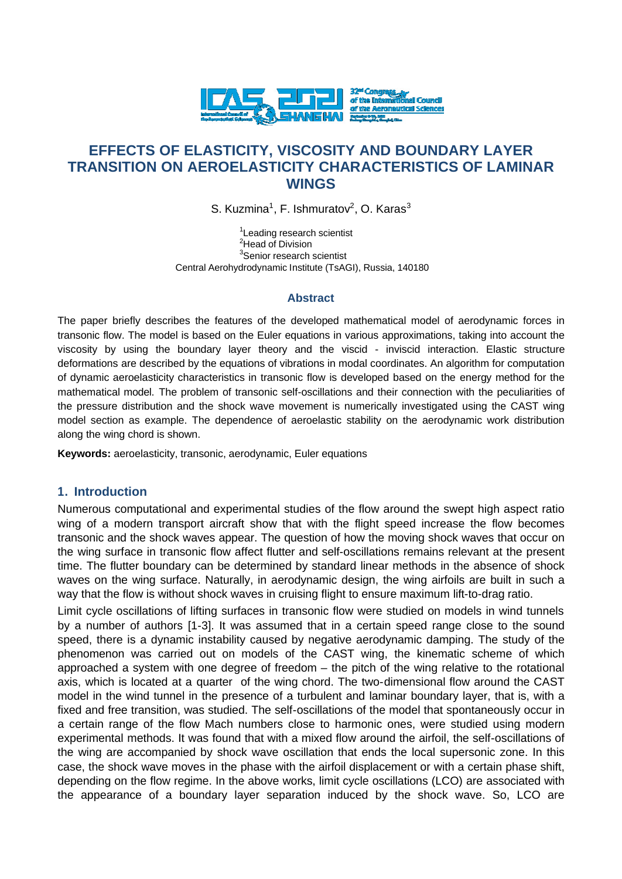

# **EFFECTS OF ELASTICITY, VISCOSITY AND BOUNDARY LAYER TRANSITION ON AEROELASTICITY CHARACTERISTICS OF LAMINAR WINGS**

S. Kuzmina<sup>1</sup>, F. Ishmuratov<sup>2</sup>, O. Karas<sup>3</sup>

<sup>1</sup> Leading research scientist <sup>2</sup>Head of Division <sup>3</sup>Senior research scientist Central Aerohydrodynamic Institute (TsAGI), Russia, 140180

#### **Abstract**

The paper briefly describes the features of the developed mathematical model of aerodynamic forces in transonic flow. The model is based on the Euler equations in various approximations, taking into account the viscosity by using the boundary layer theory and the viscid - inviscid interaction. Elastic structure deformations are described by the equations of vibrations in modal coordinates. An algorithm for computation of dynamic aeroelasticity characteristics in transonic flow is developed based on the energy method for the mathematical model. The problem of transonic self-oscillations and their connection with the peculiarities of the pressure distribution and the shock wave movement is numerically investigated using the CAST wing model section as example. The dependence of aeroelastic stability on the aerodynamic work distribution along the wing chord is shown.

**Keywords:** aeroelasticity, transonic, aerodynamic, Euler equations

### **1. Introduction**

Numerous computational and experimental studies of the flow around the swept high aspect ratio wing of a modern transport aircraft show that with the flight speed increase the flow becomes transonic and the shock waves appear. The question of how the moving shock waves that occur on the wing surface in transonic flow affect flutter and self-oscillations remains relevant at the present time. The flutter boundary can be determined by standard linear methods in the absence of shock waves on the wing surface. Naturally, in aerodynamic design, the wing airfoils are built in such a way that the flow is without shock waves in cruising flight to ensure maximum lift-to-drag ratio.

Limit cycle oscillations of lifting surfaces in transonic flow were studied on models in wind tunnels by a number of authors [1-3]. It was assumed that in a certain speed range close to the sound speed, there is a dynamic instability caused by negative aerodynamic damping. The study of the phenomenon was carried out on models of the CAST wing, the kinematic scheme of which approached a system with one degree of freedom – the pitch of the wing relative to the rotational axis, which is located at a quarter of the wing chord. The two-dimensional flow around the CAST model in the wind tunnel in the presence of a turbulent and laminar boundary layer, that is, with a fixed and free transition, was studied. The self-oscillations of the model that spontaneously occur in a certain range of the flow Mach numbers close to harmonic ones, were studied using modern experimental methods. It was found that with a mixed flow around the airfoil, the self-oscillations of the wing are accompanied by shock wave oscillation that ends the local supersonic zone. In this case, the shock wave moves in the phase with the airfoil displacement or with a certain phase shift, depending on the flow regime. In the above works, limit cycle oscillations (LCO) are associated with the appearance of a boundary layer separation induced by the shock wave. So, LCO are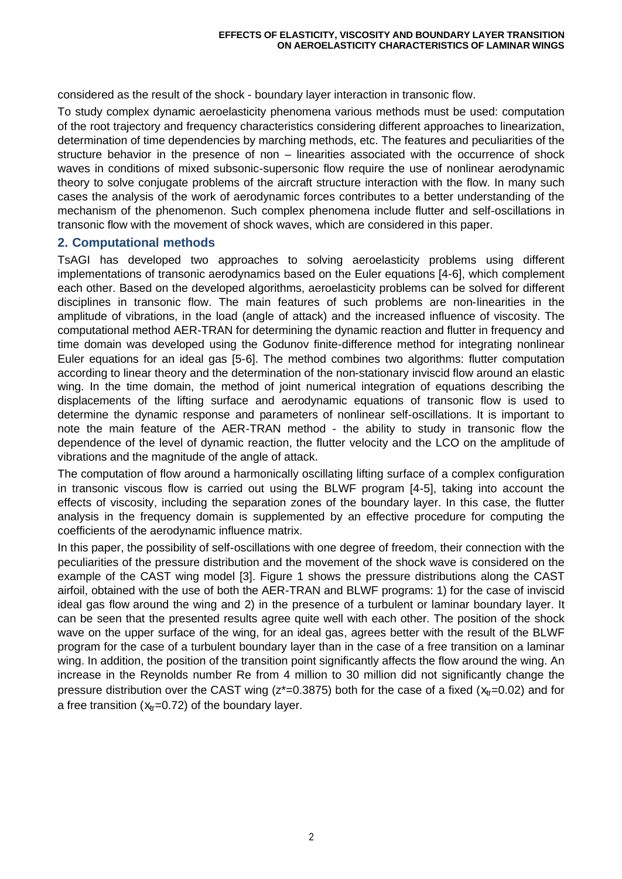considered as the result of the shock - boundary layer interaction in transonic flow.

To study complex dynamic aeroelasticity phenomena various methods must be used: computation of the root trajectory and frequency characteristics considering different approaches to linearization, determination of time dependencies by marching methods, etc. The features and peculiarities of the structure behavior in the presence of non – linearities associated with the occurrence of shock waves in conditions of mixed subsonic-supersonic flow require the use of nonlinear aerodynamic theory to solve conjugate problems of the aircraft structure interaction with the flow. In many such cases the analysis of the work of aerodynamic forces contributes to a better understanding of the mechanism of the phenomenon. Such complex phenomena include flutter and self-oscillations in transonic flow with the movement of shock waves, which are considered in this paper.

# **2. Computational methods**

TsAGI has developed two approaches to solving aeroelasticity problems using different implementations of transonic aerodynamics based on the Euler equations [4-6], which complement each other. Based on the developed algorithms, aeroelasticity problems can be solved for different disciplines in transonic flow. The main features of such problems are non-linearities in the amplitude of vibrations, in the load (angle of attack) and the increased influence of viscosity. The computational method AER-TRAN for determining the dynamic reaction and flutter in frequency and time domain was developed using the Godunov finite-difference method for integrating nonlinear Euler equations for an ideal gas [5-6]. The method combines two algorithms: flutter computation according to linear theory and the determination of the non-stationary inviscid flow around an elastic wing. In the time domain, the method of joint numerical integration of equations describing the displacements of the lifting surface and aerodynamic equations of transonic flow is used to determine the dynamic response and parameters of nonlinear self-oscillations. It is important to note the main feature of the AER-TRAN method - the ability to study in transonic flow the dependence of the level of dynamic reaction, the flutter velocity and the LCO on the amplitude of vibrations and the magnitude of the angle of attack.

The computation of flow around a harmonically oscillating lifting surface of a complex configuration in transonic viscous flow is carried out using the BLWF program [4-5], taking into account the effects of viscosity, including the separation zones of the boundary layer. In this case, the flutter analysis in the frequency domain is supplemented by an effective procedure for computing the coefficients of the aerodynamic influence matrix.

In this paper, the possibility of self-oscillations with one degree of freedom, their connection with the peculiarities of the pressure distribution and the movement of the shock wave is considered on the example of the CAST wing model [3]. Figure 1 shows the pressure distributions along the CAST airfoil, obtained with the use of both the AER-TRAN and BLWF programs: 1) for the case of inviscid ideal gas flow around the wing and 2) in the presence of a turbulent or laminar boundary layer. It can be seen that the presented results agree quite well with each other. The position of the shock wave on the upper surface of the wing, for an ideal gas, agrees better with the result of the BLWF program for the case of a turbulent boundary layer than in the case of a free transition on a laminar wing. In addition, the position of the transition point significantly affects the flow around the wing. An increase in the Reynolds number Re from 4 million to 30 million did not significantly change the pressure distribution over the CAST wing ( $z^*=0.3875$ ) both for the case of a fixed ( $x_{tr}=0.02$ ) and for a free transition ( $x_{tr}$ =0.72) of the boundary layer.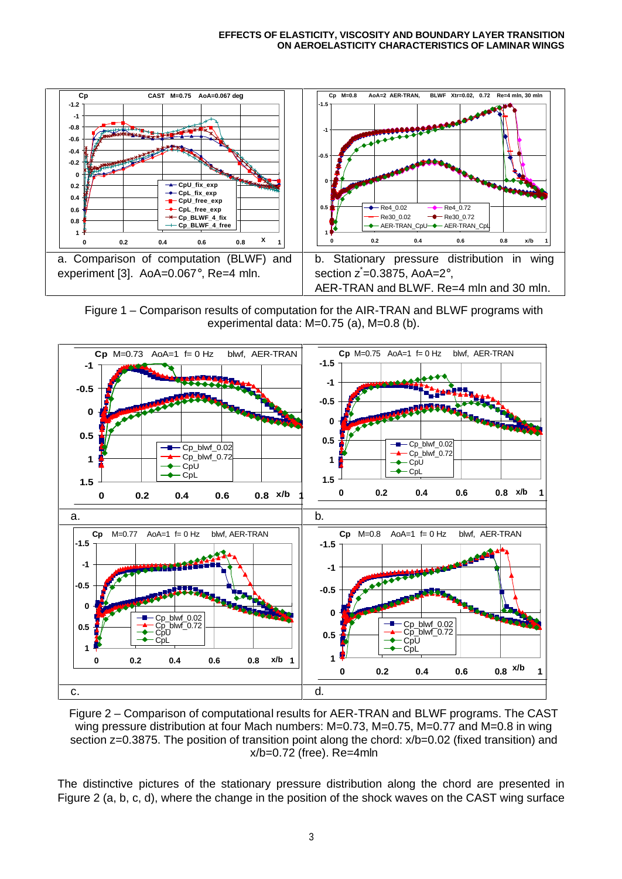

Figure 1 – Comparison results of computation for the AIR-TRAN and BLWF programs with experimental data: M=0.75 (a), M=0.8 (b).



Figure 2 – Comparison of computational results for AER-TRAN and BLWF programs. The CAST wing pressure distribution at four Mach numbers: M=0.73, M=0.75, M=0.77 and M=0.8 in wing section z=0.3875. The position of transition point along the chord:  $x/b=0.02$  (fixed transition) and x/b=0.72 (free). Re=4mln

The distinctive pictures of the stationary pressure distribution along the chord are presented in Figure 2 (a, b, c, d), where the change in the position of the shock waves on the CAST wing surface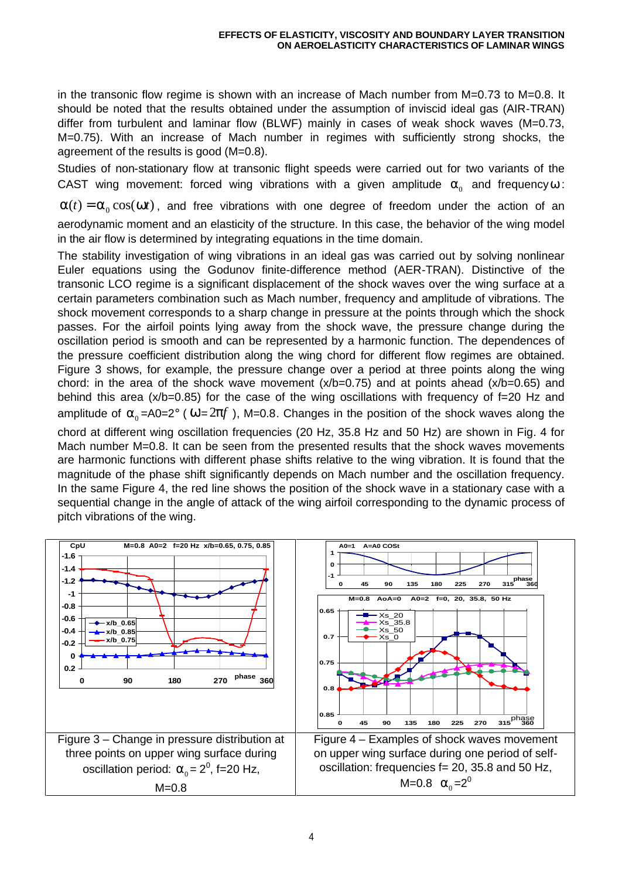in the transonic flow regime is shown with an increase of Mach number from M=0.73 to M=0.8. It should be noted that the results obtained under the assumption of inviscid ideal gas (AIR-TRAN) differ from turbulent and laminar flow (BLWF) mainly in cases of weak shock waves (M=0.73, M=0.75). With an increase of Mach number in regimes with sufficiently strong shocks, the agreement of the results is good (M=0.8).

Studies of non-stationary flow at transonic flight speeds were carried out for two variants of the CAST wing movement: forced wing vibrations with a given amplitude  $a_0$  and frequency*w* :

 $\alpha(t) = \alpha_0 \cos(\omega t)$ , and free vibrations with one degree of freedom under the action of an aerodynamic moment and an elasticity of the structure. In this case, the behavior of the wing model in the air flow is determined by integrating equations in the time domain.

The stability investigation of wing vibrations in an ideal gas was carried out by solving nonlinear Euler equations using the Godunov finite-difference method (AER-TRAN). Distinctive of the transonic LCO regime is a significant displacement of the shock waves over the wing surface at a certain parameters combination such as Mach number, frequency and amplitude of vibrations. The shock movement corresponds to a sharp change in pressure at the points through which the shock passes. For the airfoil points lying away from the shock wave, the pressure change during the oscillation period is smooth and can be represented by a harmonic function. The dependences of the pressure coefficient distribution along the wing chord for different flow regimes are obtained. Figure 3 shows, for example, the pressure change over a period at three points along the wing chord: in the area of the shock wave movement  $(x/b=0.75)$  and at points ahead  $(x/b=0.65)$  and behind this area (x/b=0.85) for the case of the wing oscillations with frequency of f=20 Hz and amplitude of  $a_0$ =A0=2° ( $\omega$ =2pf), M=0.8. Changes in the position of the shock waves along the

chord at different wing oscillation frequencies (20 Hz, 35.8 Hz and 50 Hz) are shown in Fig. 4 for Mach number M=0.8. It can be seen from the presented results that the shock waves movements are harmonic functions with different phase shifts relative to the wing vibration. It is found that the magnitude of the phase shift significantly depends on Mach number and the oscillation frequency. In the same Figure 4, the red line shows the position of the shock wave in a stationary case with a sequential change in the angle of attack of the wing airfoil corresponding to the dynamic process of pitch vibrations of the wing.

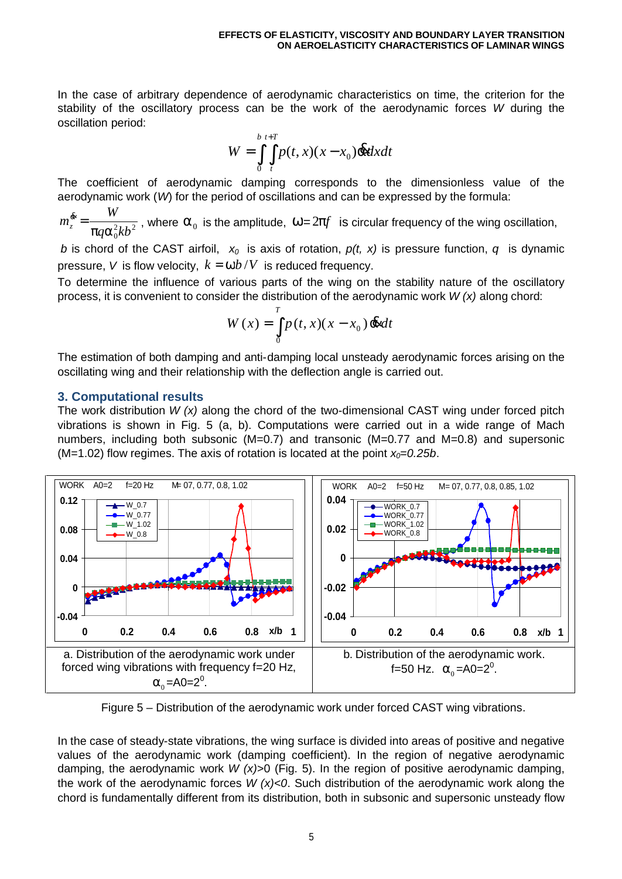In the case of arbitrary dependence of aerodynamic characteristics on time, the criterion for the stability of the oscillatory process can be the work of the aerodynamic forces *W* during the oscillation period:

$$
W = \int_{0}^{b} \int_{t}^{t+T} p(t, x)(x - x_0) \, \mathrm{d}x \, dx
$$

The coefficient of aerodynamic damping corresponds to the dimensionless value of the aerodynamic work (*W*) for the period of oscillations and can be expressed by the formula:

 $q\alpha_0^2kb^2$ *W*  $m_z^{\alpha} = \frac{1}{\pi q \alpha}$  $\frac{k}{a} = \frac{W}{\pi a a^2 L L^2}$ , where  $a_0$  is the amplitude,  $\omega = 2p f$  is circular frequency of the wing oscillation,

*b* is chord of the CAST airfoil, *x<sup>0</sup>* is axis of rotation, *p(t, x)* is pressure function, *q* is dynamic pressure, *V* is flow velocity,  $k = \omega b/V$  is reduced frequency.

To determine the influence of various parts of the wing on the stability nature of the oscillatory process, it is convenient to consider the distribution of the aerodynamic work *W (x)* along chord:

$$
W(x) = \int_{0}^{T} p(t, x)(x - x_0) \, \mathrm{d}t \, dt
$$

The estimation of both damping and anti-damping local unsteady aerodynamic forces arising on the oscillating wing and their relationship with the deflection angle is carried out.

### **3. Computational results**

The work distribution *W (x)* along the chord of the two-dimensional CAST wing under forced pitch vibrations is shown in Fig. 5 (a, b). Computations were carried out in a wide range of Mach numbers, including both subsonic (M=0.7) and transonic (M=0.77 and M=0.8) and supersonic (M=1.02) flow regimes. The axis of rotation is located at the point  $x_0=0.25b$ .



Figure 5 – Distribution of the aerodynamic work under forced CAST wing vibrations.

In the case of steady-state vibrations, the wing surface is divided into areas of positive and negative values of the aerodynamic work (damping coefficient). In the region of negative aerodynamic damping, the aerodynamic work *W (x)*>0 (Fig. 5). In the region of positive aerodynamic damping, the work of the aerodynamic forces *W (x)<0*. Such distribution of the aerodynamic work along the chord is fundamentally different from its distribution, both in subsonic and supersonic unsteady flow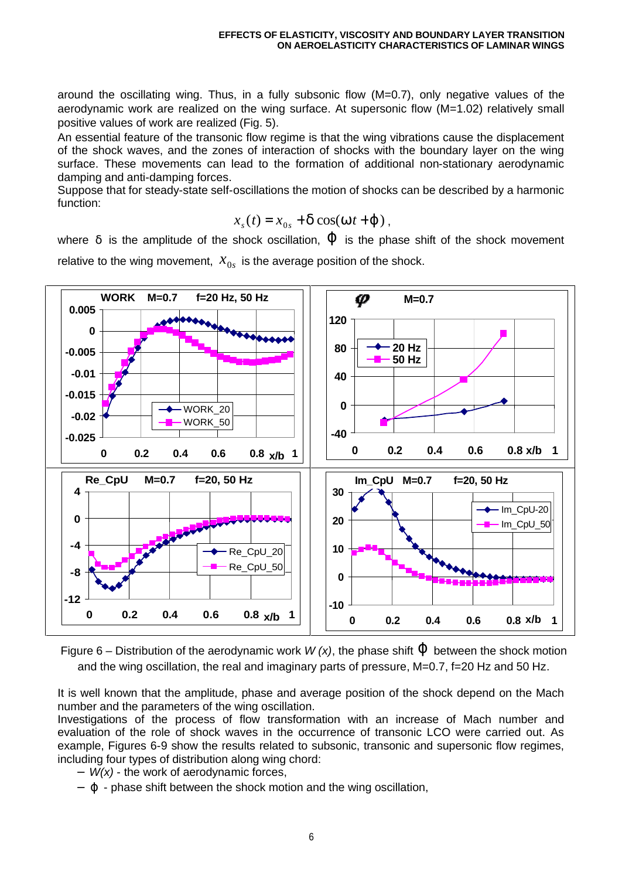around the oscillating wing. Thus, in a fully subsonic flow (M=0.7), only negative values of the aerodynamic work are realized on the wing surface. At supersonic flow (M=1.02) relatively small positive values of work are realized (Fig. 5).

An essential feature of the transonic flow regime is that the wing vibrations cause the displacement of the shock waves, and the zones of interaction of shocks with the boundary layer on the wing surface. These movements can lead to the formation of additional non-stationary aerodynamic damping and anti-damping forces.

Suppose that for steady-state self-oscillations the motion of shocks can be described by a harmonic function:

$$
x_s(t) = x_{0s} + d \cos(w t + j)
$$

where δ is the amplitude of the shock oscillation, *j* is the phase shift of the shock movement relative to the wing movement,  $\bar{x}_{0s}$  is the average position of the shock.



Figure 6 – Distribution of the aerodynamic work *W (x)*, the phase shift *j* between the shock motion and the wing oscillation, the real and imaginary parts of pressure, M=0.7, f=20 Hz and 50 Hz.

It is well known that the amplitude, phase and average position of the shock depend on the Mach number and the parameters of the wing oscillation.

Investigations of the process of flow transformation with an increase of Mach number and evaluation of the role of shock waves in the occurrence of transonic LCO were carried out. As example, Figures 6-9 show the results related to subsonic, transonic and supersonic flow regimes, including four types of distribution along wing chord:

- − *W(x)* the work of aerodynamic forces,
- − *j* phase shift between the shock motion and the wing oscillation,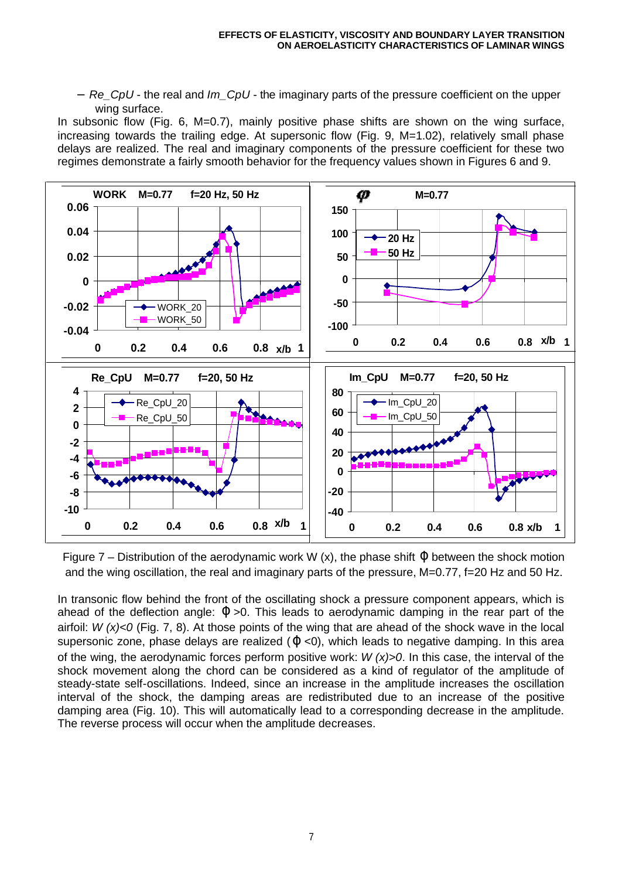− *Re\_CpU* - the real and *Im\_CpU* - the imaginary parts of the pressure coefficient on the upper wing surface.

In subsonic flow (Fig. 6, M=0.7), mainly positive phase shifts are shown on the wing surface, increasing towards the trailing edge. At supersonic flow (Fig. 9, M=1.02), relatively small phase delays are realized. The real and imaginary components of the pressure coefficient for these two regimes demonstrate a fairly smooth behavior for the frequency values shown in Figures 6 and 9.



Figure 7 – Distribution of the aerodynamic work W (x), the phase shift *j* between the shock motion and the wing oscillation, the real and imaginary parts of the pressure, M=0.77, f=20 Hz and 50 Hz.

In transonic flow behind the front of the oscillating shock a pressure component appears, which is ahead of the deflection angle: *j* >0. This leads to aerodynamic damping in the rear part of the airfoil: *W (x)<0* (Fig. 7, 8). At those points of the wing that are ahead of the shock wave in the local supersonic zone, phase delays are realized (*j* <0), which leads to negative damping. In this area of the wing, the aerodynamic forces perform positive work: *W (x)>0*. In this case, the interval of the shock movement along the chord can be considered as a kind of regulator of the amplitude of steady-state self-oscillations. Indeed, since an increase in the amplitude increases the oscillation interval of the shock, the damping areas are redistributed due to an increase of the positive damping area (Fig. 10). This will automatically lead to a corresponding decrease in the amplitude. The reverse process will occur when the amplitude decreases.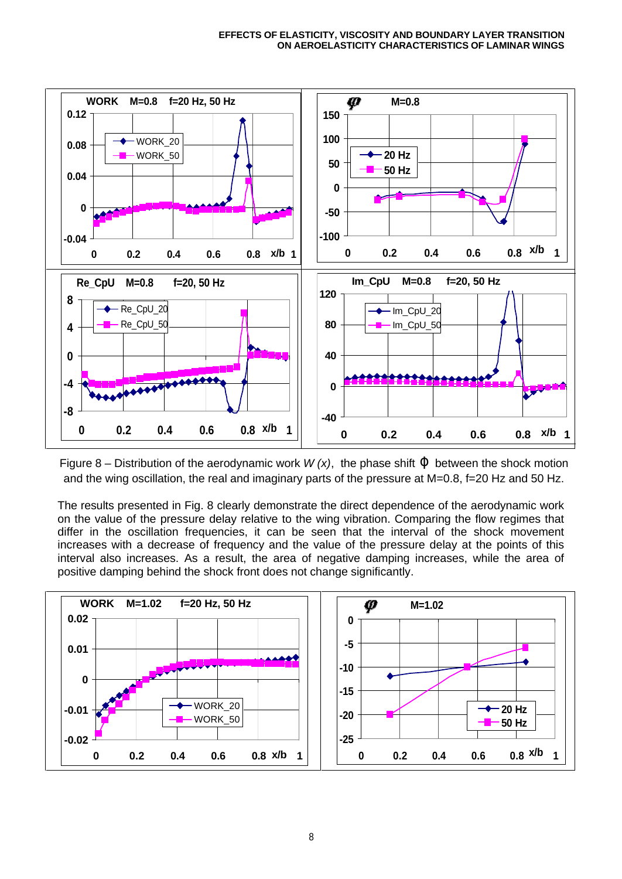

Figure 8 – Distribution of the aerodynamic work  $W(x)$ , the phase shift  $\dot{J}$  between the shock motion and the wing oscillation, the real and imaginary parts of the pressure at M=0.8, f=20 Hz and 50 Hz.

The results presented in Fig. 8 clearly demonstrate the direct dependence of the aerodynamic work on the value of the pressure delay relative to the wing vibration. Comparing the flow regimes that differ in the oscillation frequencies, it can be seen that the interval of the shock movement increases with a decrease of frequency and the value of the pressure delay at the points of this interval also increases. As a result, the area of negative damping increases, while the area of positive damping behind the shock front does not change significantly.

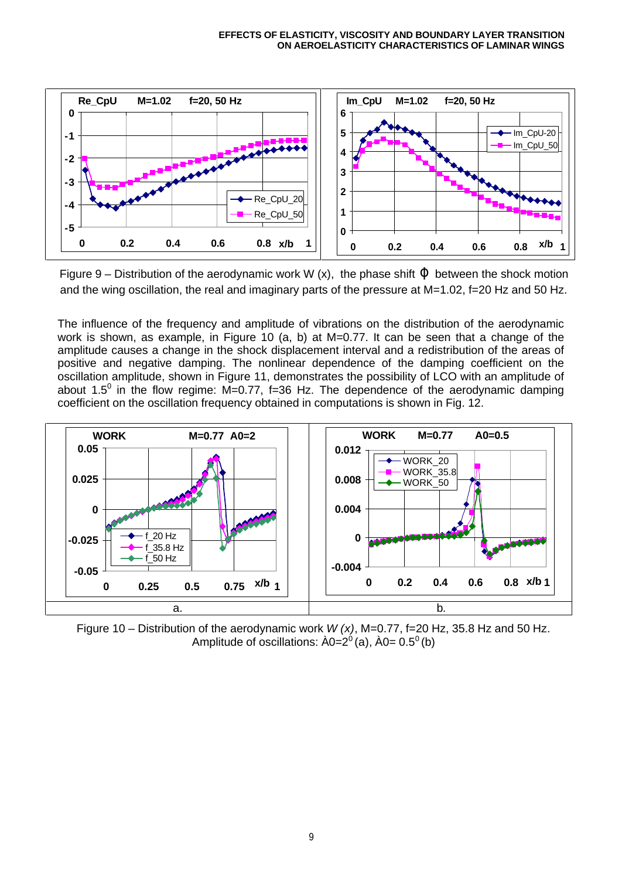

Figure 9 – Distribution of the aerodynamic work W (x), the phase shift *j* between the shock motion and the wing oscillation, the real and imaginary parts of the pressure at M=1.02, f=20 Hz and 50 Hz.

The influence of the frequency and amplitude of vibrations on the distribution of the aerodynamic work is shown, as example, in Figure 10 (a, b) at M=0.77. It can be seen that a change of the amplitude causes a change in the shock displacement interval and a redistribution of the areas of positive and negative damping. The nonlinear dependence of the damping coefficient on the oscillation amplitude, shown in Figure 11, demonstrates the possibility of LCO with an amplitude of about 1.5<sup>0</sup> in the flow regime: M=0.77, f=36 Hz. The dependence of the aerodynamic damping coefficient on the oscillation frequency obtained in computations is shown in Fig. 12.



Figure 10 – Distribution of the aerodynamic work *W (x)*, M=0.77, f=20 Hz, 35.8 Hz and 50 Hz. Amplitude of oscillations:  $\rm \AA 0=2^{0}$  (a),  $\rm \AA 0=0.5^{0}$  (b)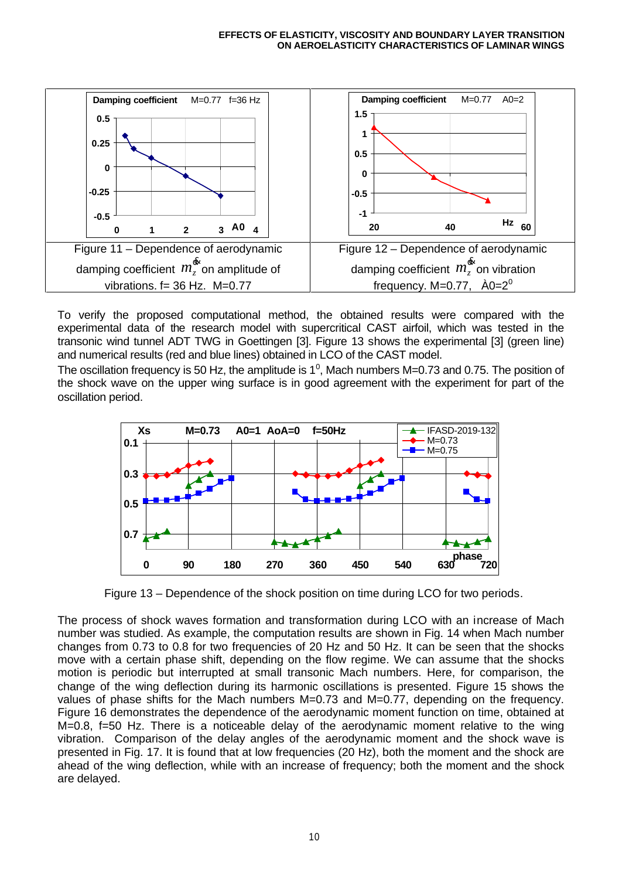

To verify the proposed computational method, the obtained results were compared with the experimental data of the research model with supercritical CAST airfoil, which was tested in the transonic wind tunnel ADT TWG in Goettingen [3]. Figure 13 shows the experimental [3] (green line) and numerical results (red and blue lines) obtained in LCO of the CAST model.

The oscillation frequency is 50 Hz, the amplitude is 1<sup>0</sup>, Mach numbers M=0.73 and 0.75. The position of the shock wave on the upper wing surface is in good agreement with the experiment for part of the oscillation period.



Figure 13 – Dependence of the shock position on time during LCO for two periods.

The process of shock waves formation and transformation during LCO with an increase of Mach number was studied. As example, the computation results are shown in Fig. 14 when Mach number changes from 0.73 to 0.8 for two frequencies of 20 Hz and 50 Hz. It can be seen that the shocks move with a certain phase shift, depending on the flow regime. We can assume that the shocks motion is periodic but interrupted at small transonic Mach numbers. Here, for comparison, the change of the wing deflection during its harmonic oscillations is presented. Figure 15 shows the values of phase shifts for the Mach numbers M=0.73 and M=0.77, depending on the frequency. Figure 16 demonstrates the dependence of the aerodynamic moment function on time, obtained at M=0.8, f=50 Hz. There is a noticeable delay of the aerodynamic moment relative to the wing vibration. Comparison of the delay angles of the aerodynamic moment and the shock wave is presented in Fig. 17. It is found that at low frequencies (20 Hz), both the moment and the shock are ahead of the wing deflection, while with an increase of frequency; both the moment and the shock are delayed.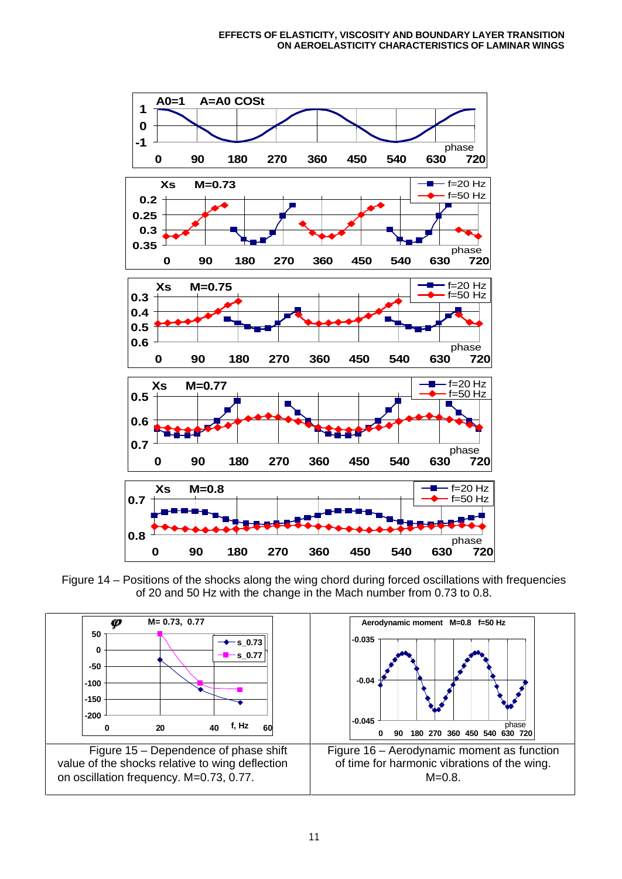

Figure 14 – Positions of the shocks along the wing chord during forced oscillations with frequencies of 20 and 50 Hz with the change in the Mach number from 0.73 to 0.8.

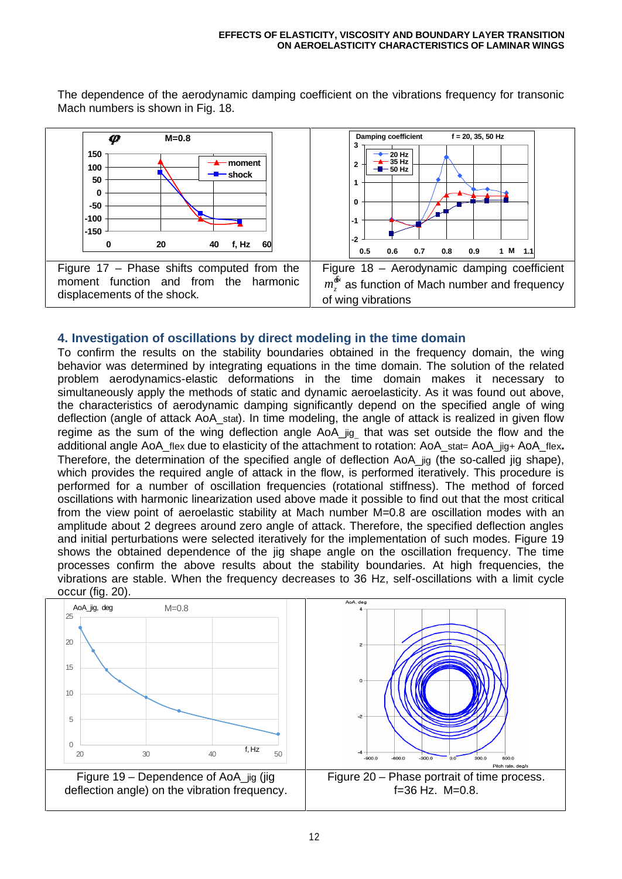

The dependence of the aerodynamic damping coefficient on the vibrations frequency for transonic Mach numbers is shown in Fig. 18.

# **4. Investigation of oscillations by direct modeling in the time domain**

To confirm the results on the stability boundaries obtained in the frequency domain, the wing behavior was determined by integrating equations in the time domain. The solution of the related problem aerodynamics-elastic deformations in the time domain makes it necessary to simultaneously apply the methods of static and dynamic aeroelasticity. As it was found out above, the characteristics of aerodynamic damping significantly depend on the specified angle of wing deflection (angle of attack AoA\_stat). In time modeling, the angle of attack is realized in given flow regime as the sum of the wing deflection angle AoA\_jig that was set outside the flow and the additional angle AoA\_flex due to elasticity of the attachment to rotation: AoA\_stat= AoA\_jig+ AoA\_flex**.** Therefore, the determination of the specified angle of deflection AoA\_jig (the so-called jig shape), which provides the required angle of attack in the flow, is performed iteratively. This procedure is performed for a number of oscillation frequencies (rotational stiffness). The method of forced oscillations with harmonic linearization used above made it possible to find out that the most critical from the view point of aeroelastic stability at Mach number M=0.8 are oscillation modes with an amplitude about 2 degrees around zero angle of attack. Therefore, the specified deflection angles and initial perturbations were selected iteratively for the implementation of such modes. Figure 19 shows the obtained dependence of the jig shape angle on the oscillation frequency. The time processes confirm the above results about the stability boundaries. At high frequencies, the vibrations are stable. When the frequency decreases to 36 Hz, self-oscillations with a limit cycle occur (fig. 20).